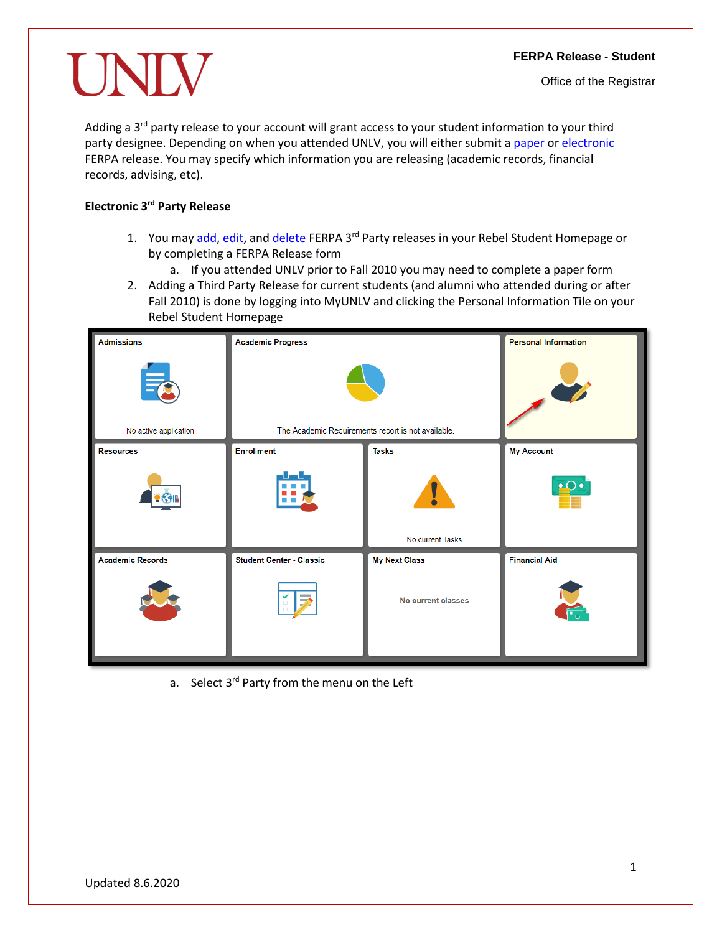UNI

Adding a 3<sup>rd</sup> party release to your account will grant access to your student information to your third party designee. Depending on when you attended UNLV, you will either submit a [paper](#page-6-0) o[r electronic](#page-0-0) FERPA release. You may specify which information you are releasing (academic records, financial records, advising, etc).

## <span id="page-0-0"></span>**Electronic 3rd Party Release**

- 1. You may [add,](#page-0-1) [edit,](#page-4-0) and [delete](#page-5-0) FERPA 3<sup>rd</sup> Party releases in your Rebel Student Homepage or by completing a FERPA Release form
	- a. If you attended UNLV prior to Fall 2010 you may need to complete a paper form
- <span id="page-0-1"></span>2. Adding a Third Party Release for current students (and alumni who attended during or after Fall 2010) is done by logging into MyUNLV and clicking the Personal Information Tile on your Rebel Student Homepage



a. Select 3<sup>rd</sup> Party from the menu on the Left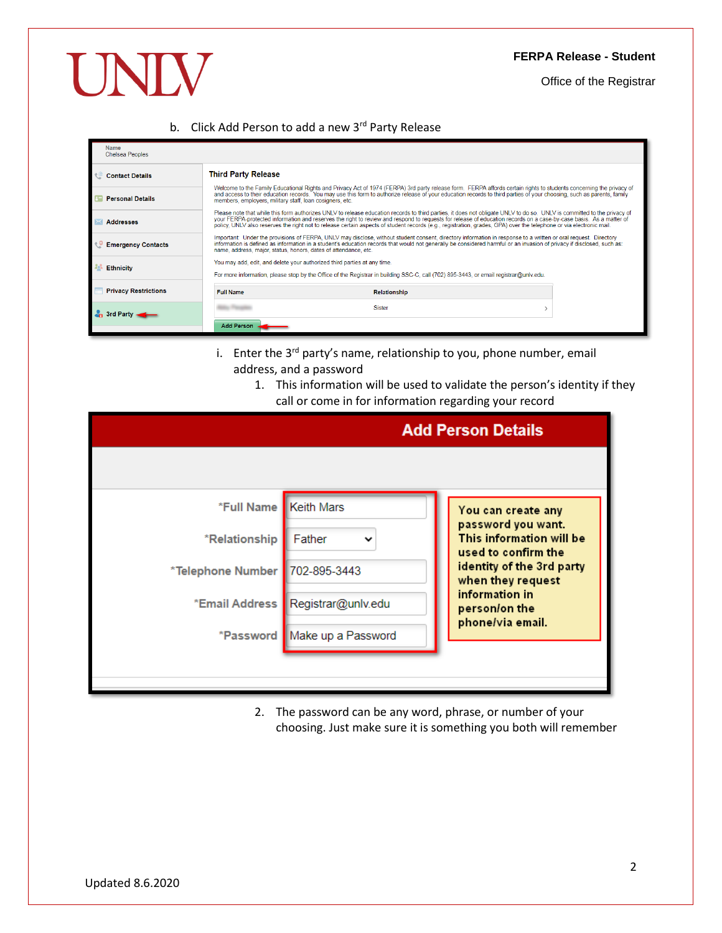Office of the Registrar

# b. Click Add Person to add a new 3rd Party Release

| Name<br><b>Chelsea Peoples</b> |                                                                          |                                                                                                                                                                                                                                                                                                                                                                                                                                                                                                                      |  |
|--------------------------------|--------------------------------------------------------------------------|----------------------------------------------------------------------------------------------------------------------------------------------------------------------------------------------------------------------------------------------------------------------------------------------------------------------------------------------------------------------------------------------------------------------------------------------------------------------------------------------------------------------|--|
| <b>Contact Details</b>         | <b>Third Party Release</b>                                               |                                                                                                                                                                                                                                                                                                                                                                                                                                                                                                                      |  |
| <b>Personal Details</b>        | members, employers, military staff, loan cosigners, etc.                 | Welcome to the Family Educational Rights and Privacy Act of 1974 (FERPA) 3rd party release form. FERPA affords certain rights to students concerning the privacy of<br>and access to their education records. You may use this form to authorize release of your education records to third parties of your choosing, such as parents, family                                                                                                                                                                        |  |
| <b>Addresses</b>               |                                                                          | Please note that while this form authorizes UNLV to release education records to third parties, it does not obligate UNLV to do so. UNLV is committed to the privacy of<br>your FERPA-protected information and reserves the right to review and respond to requests for release of education records on a case-by-case basis. As a matter of<br>policy, UNLV also reserves the right not to release certain aspects of student records (e.g., registration, grades, GPA) over the telephone or via electronic mail. |  |
| <b>Emergency Contacts</b>      | name, address, major, status, honors, dates of attendance, etc.          | Important: Under the provisions of FERPA, UNLV may disclose, without student consent, directory information in response to a written or oral request. Directory<br>information is defined as information in a student's education records that would not generally be considered harmful or an invasion of privacy if disclosed, such as:                                                                                                                                                                            |  |
| <b>Ethnicity</b>               | You may add, edit, and delete your authorized third parties at any time. | For more information, please stop by the Office of the Registrar in building SSC-C, call (702) 895-3443, or email registrar@unlv.edu.                                                                                                                                                                                                                                                                                                                                                                                |  |
| <b>Privacy Restrictions</b>    | <b>Full Name</b>                                                         | Relationship                                                                                                                                                                                                                                                                                                                                                                                                                                                                                                         |  |
| ⊢3rd Partv⊣                    |                                                                          | <b>Sister</b>                                                                                                                                                                                                                                                                                                                                                                                                                                                                                                        |  |
|                                | <b>Add Person</b>                                                        |                                                                                                                                                                                                                                                                                                                                                                                                                                                                                                                      |  |

- i. Enter the 3<sup>rd</sup> party's name, relationship to you, phone number, email address, and a password
	- 1. This information will be used to validate the person's identity if they call or come in for information regarding your record

|                                  |                                     | <b>Add Person Details</b>                                             |
|----------------------------------|-------------------------------------|-----------------------------------------------------------------------|
|                                  |                                     |                                                                       |
| *Full Name   Keith Mars          |                                     | You can create any                                                    |
| *Relationship                    | Father                              | password you want.<br>This information will be<br>used to confirm the |
| *Telephone Number   702-895-3443 |                                     | identity of the 3rd party<br>when they request                        |
|                                  | *Email Address   Registrar@unlv.edu | information in<br>person/on the                                       |
|                                  | *Password Make up a Password        | phone/via email.                                                      |
|                                  |                                     |                                                                       |

2. The password can be any word, phrase, or number of your choosing. Just make sure it is something you both will remember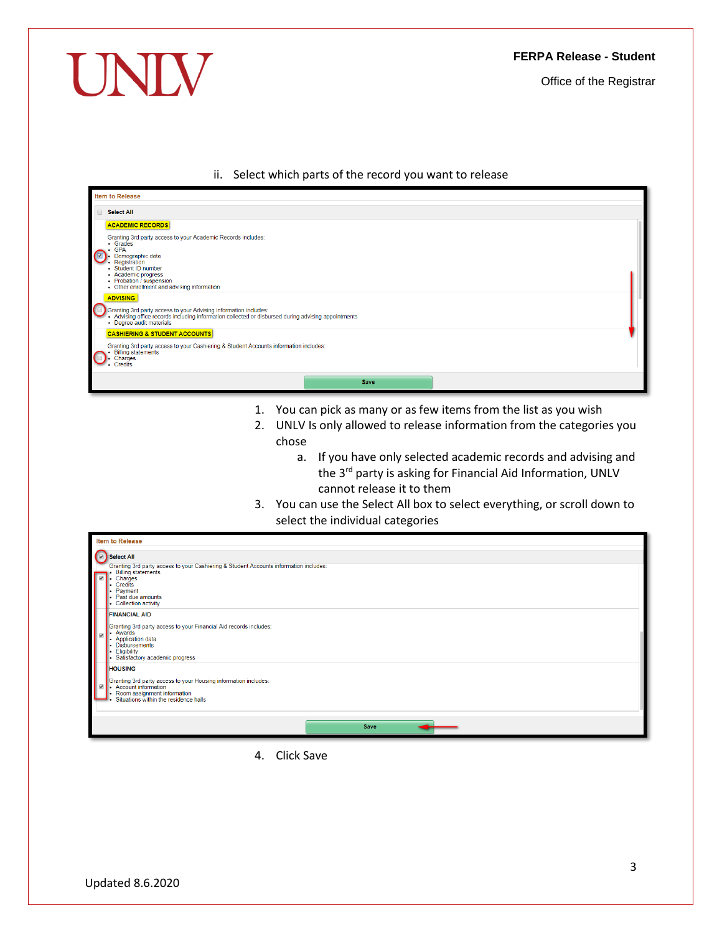Office of the Registrar

## ii. Select which parts of the record you want to release

|                         | <b>Item to Release</b>                                                                                                                                                                                                                                                         |  |
|-------------------------|--------------------------------------------------------------------------------------------------------------------------------------------------------------------------------------------------------------------------------------------------------------------------------|--|
| $\Box$                  | <b>Select All</b>                                                                                                                                                                                                                                                              |  |
| $\overline{\mathbf{z}}$ | <b>ACADEMIC RECORDS</b><br>Granting 3rd party access to your Academic Records includes:<br>• Grades<br><b>GPA</b><br>Demographic data<br>Registration<br>- Student ID number<br>• Academic progress<br>• Probation / suspension<br>• Other enrollment and advising information |  |
|                         | <b>ADVISING</b><br>Granting 3rd party access to your Advising information includes:<br>- Advising office records including information collected or disbursed during advising appointments<br>• Degree audit materials                                                         |  |
|                         | <b>CASHIERING &amp; STUDENT ACCOUNTS</b><br>Granting 3rd party access to your Cashiering & Student Accounts information includes:<br><b>Billing statements</b><br>Charges<br><b>Credits</b>                                                                                    |  |
|                         | Save                                                                                                                                                                                                                                                                           |  |

- 1. You can pick as many or as few items from the list as you wish
- 2. UNLV Is only allowed to release information from the categories you chose
	- a. If you have only selected academic records and advising and the 3<sup>rd</sup> party is asking for Financial Aid Information, UNLV cannot release it to them
- 3. You can use the Select All box to select everything, or scroll down to select the individual categories

| <b>Item to Release</b>                                                                                                                                                                                  |
|---------------------------------------------------------------------------------------------------------------------------------------------------------------------------------------------------------|
|                                                                                                                                                                                                         |
| <b>D</b> Select All                                                                                                                                                                                     |
| Granting 3rd party access to your Cashiering & Student Accounts information includes:<br><b>Billing statements</b><br>Charges<br>Credits<br>Payment<br>- Past due amounts<br>• Collection activity      |
| <b>FINANCIAL AID</b><br>Granting 3rd party access to your Financial Aid records includes:<br>- Awards<br>• Application data<br>• Disbursements<br>Eligibility<br>٠.<br>· Satisfactory academic progress |
| <b>HOUSING</b><br>Granting 3rd party access to your Housing information includes:<br>Account information<br>Room assignment information<br>Situations within the residence halls                        |
| Save                                                                                                                                                                                                    |

4. Click Save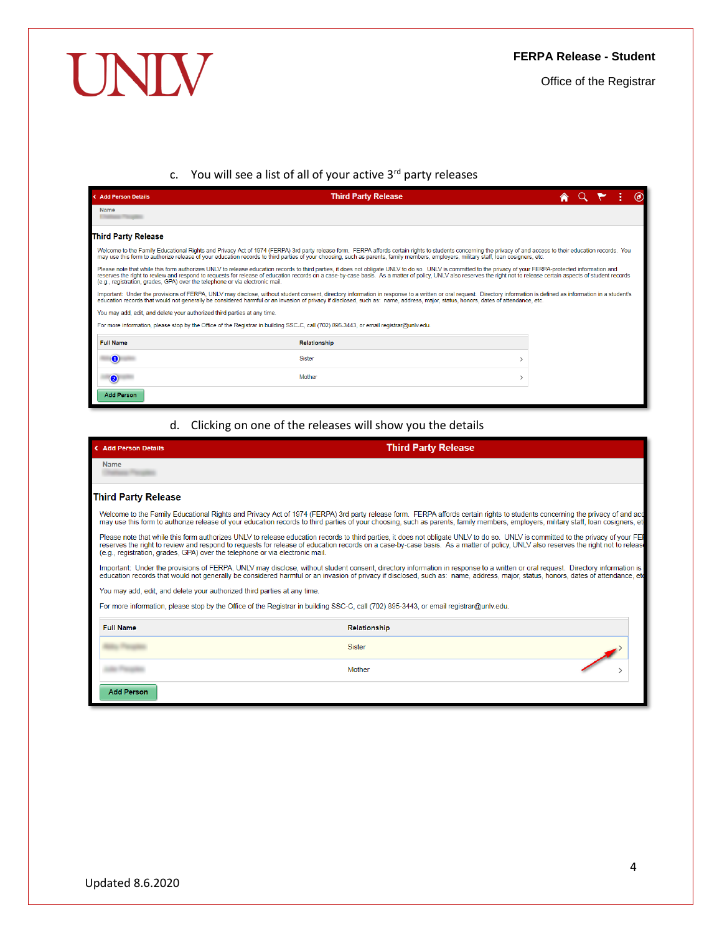# UNIV

## **FERPA Release - Student**

Office of the Registrar

# c. You will see a list of all of your active 3<sup>rd</sup> party releases

| <b>&lt; Add Person Details</b>                                                                                                        | <b>Third Party Release</b>                                                                                                                                                                                                                                                                                                                                                                                                           |  |  | $\circledcirc$ |
|---------------------------------------------------------------------------------------------------------------------------------------|--------------------------------------------------------------------------------------------------------------------------------------------------------------------------------------------------------------------------------------------------------------------------------------------------------------------------------------------------------------------------------------------------------------------------------------|--|--|----------------|
| <b>Name</b>                                                                                                                           |                                                                                                                                                                                                                                                                                                                                                                                                                                      |  |  |                |
| <b>Third Party Release</b>                                                                                                            |                                                                                                                                                                                                                                                                                                                                                                                                                                      |  |  |                |
|                                                                                                                                       | Welcome to the Family Educational Rights and Privacy Act of 1974 (FERPA) 3rd party release form. FERPA affords certain rights to students concerning the privacy of and access to their education records. You<br>may use this form to authorize release of your education records to third parties of your choosing, such as parents, family members, employers, military staff, loan cosigners, etc.                               |  |  |                |
| (e.g., registration, grades, GPA) over the telephone or via electronic mail.                                                          | Please note that while this form authorizes UNLV to release education records to third parties, it does not obligate UNLV to do so. UNLV is committed to the privacy of your FERPA-protected information and<br>reserves the right to review and respond to requests for release of education records on a case-by-case basis. As a matter of policy, UNLV also reserves the right not to release certain aspects of student records |  |  |                |
|                                                                                                                                       | Important: Under the provisions of FERPA, UNLV may disclose, without student consent, directory information in response to a written or oral request. Directory information is defined as information in a student's<br>education records that would not generally be considered harmful or an invasion of privacy if disclosed, such as: name, address, maior, status, honors, dates of attendance, etc.                            |  |  |                |
| You may add, edit, and delete your authorized third parties at any time.                                                              |                                                                                                                                                                                                                                                                                                                                                                                                                                      |  |  |                |
| For more information, please stop by the Office of the Registrar in building SSC-C, call (702) 895-3443, or email registrar@unly.edu. |                                                                                                                                                                                                                                                                                                                                                                                                                                      |  |  |                |
| <b>Full Name</b>                                                                                                                      | <b>Relationship</b>                                                                                                                                                                                                                                                                                                                                                                                                                  |  |  |                |
| $\bullet$                                                                                                                             | <b>Sister</b>                                                                                                                                                                                                                                                                                                                                                                                                                        |  |  |                |
| $\bullet$                                                                                                                             | Mother                                                                                                                                                                                                                                                                                                                                                                                                                               |  |  |                |
| <b>Add Person</b>                                                                                                                     |                                                                                                                                                                                                                                                                                                                                                                                                                                      |  |  |                |

# d. Clicking on one of the releases will show you the details

| < Add Person Details                                                         | <b>Third Party Release</b>                                                                                                                                                                                                                                                                                                                                             |
|------------------------------------------------------------------------------|------------------------------------------------------------------------------------------------------------------------------------------------------------------------------------------------------------------------------------------------------------------------------------------------------------------------------------------------------------------------|
| Name                                                                         |                                                                                                                                                                                                                                                                                                                                                                        |
| <b>Third Party Release</b>                                                   |                                                                                                                                                                                                                                                                                                                                                                        |
|                                                                              | Welcome to the Family Educational Rights and Privacy Act of 1974 (FERPA) 3rd party release form. FERPA affords certain rights to students concerning the privacy of and acc<br>may use this form to authorize release of your education records to third parties of your choosing, such as parents, family members, employers, military staff, loan cosigners, etc.    |
| (e.g., registration, grades, GPA) over the telephone or via electronic mail. | Please note that while this form authorizes UNLV to release education records to third parties, it does not obligate UNLV to do so. UNLV is committed to the privacy of your FEH<br>reserves the right to review and respond to requests for release of education records on a case-by-case basis. As a matter of policy, UNLV also reserves the right not to release  |
|                                                                              | Important: Under the provisions of FERPA, UNLV may disclose, without student consent, directory information in response to a written or oral request. Directory information is or<br>education records that would not generally be considered harmful or an invasion of privacy if disclosed, such as: name, address, major, status, honors, dates of attendance, etc. |
| You may add, edit, and delete your authorized third parties at any time.     |                                                                                                                                                                                                                                                                                                                                                                        |
|                                                                              | For more information, please stop by the Office of the Registrar in building SSC-C, call (702) 895-3443, or email registrar@unlv.edu.                                                                                                                                                                                                                                  |
| <b>Full Name</b>                                                             | Relationship                                                                                                                                                                                                                                                                                                                                                           |
|                                                                              | <b>Sister</b>                                                                                                                                                                                                                                                                                                                                                          |
|                                                                              | Mother                                                                                                                                                                                                                                                                                                                                                                 |
| <b>Add Person</b>                                                            |                                                                                                                                                                                                                                                                                                                                                                        |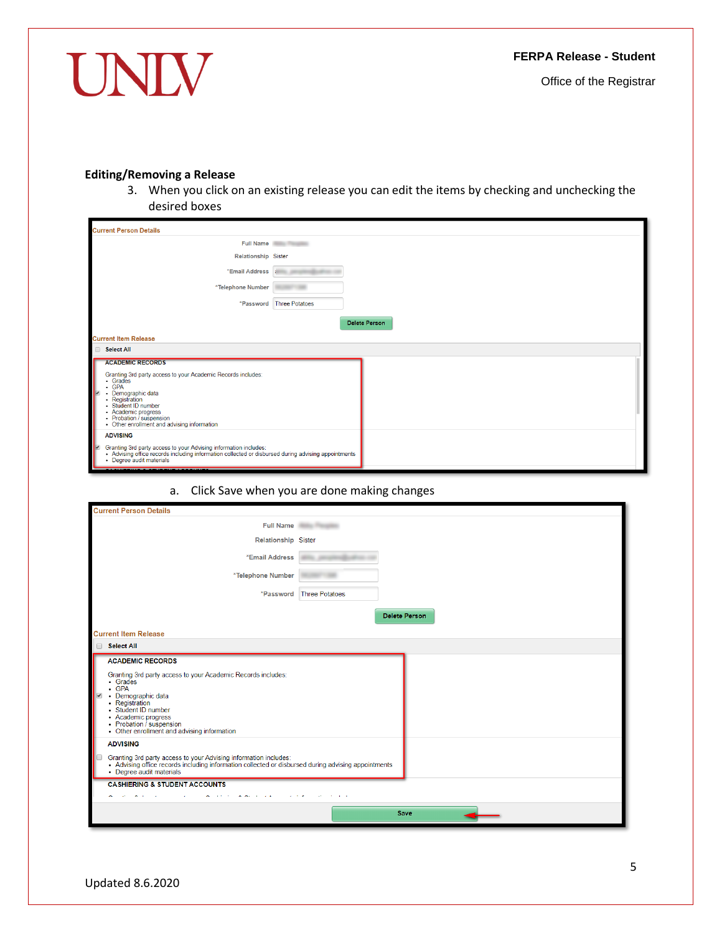UNIV

<span id="page-4-0"></span>Office of the Registrar

# **Editing/Removing a Release**

3. When you click on an existing release you can edit the items by checking and unchecking the desired boxes

| <b>Current Person Details</b>                                                                                                                                                                                                                                                               |                       |
|---------------------------------------------------------------------------------------------------------------------------------------------------------------------------------------------------------------------------------------------------------------------------------------------|-----------------------|
|                                                                                                                                                                                                                                                                                             | Full Name             |
| <b>Relationship Sister</b>                                                                                                                                                                                                                                                                  |                       |
| *Email Address i                                                                                                                                                                                                                                                                            |                       |
| *Telephone Number                                                                                                                                                                                                                                                                           |                       |
| *Password                                                                                                                                                                                                                                                                                   | <b>Three Potatoes</b> |
|                                                                                                                                                                                                                                                                                             | <b>Delete Person</b>  |
| <b>Current Item Release</b>                                                                                                                                                                                                                                                                 |                       |
| Select All                                                                                                                                                                                                                                                                                  |                       |
| <b>ACADEMIC RECORDS</b><br>Granting 3rd party access to your Academic Records includes:<br>· Grades<br>$\cdot$ GPA<br>Demographic data<br>M<br>٠<br>- Registration<br>· Student ID number<br>• Academic progress<br>• Probation / suspension<br>• Other enrollment and advising information |                       |
| <b>ADVISING</b><br>⊮<br>Granting 3rd party access to your Advising information includes:<br>• Advising office records including information collected or disbursed during advising appointments<br>• Degree audit materials                                                                 |                       |

# a. Click Save when you are done making changes

| <b>Current Person Details</b>                                                                                                                                                                                                                        |                          |
|------------------------------------------------------------------------------------------------------------------------------------------------------------------------------------------------------------------------------------------------------|--------------------------|
| Full Name                                                                                                                                                                                                                                            |                          |
| Relationship Sister                                                                                                                                                                                                                                  |                          |
| *Email Address                                                                                                                                                                                                                                       |                          |
| *Telephone Number                                                                                                                                                                                                                                    |                          |
|                                                                                                                                                                                                                                                      | *Password Three Potatoes |
|                                                                                                                                                                                                                                                      | <b>Delete Person</b>     |
| <b>Current Item Release</b>                                                                                                                                                                                                                          |                          |
| Select All                                                                                                                                                                                                                                           |                          |
| <b>ACADEMIC RECORDS</b>                                                                                                                                                                                                                              |                          |
| Granting 3rd party access to your Academic Records includes:<br>• Grades<br>$-$ GPA<br>• Demographic data<br>• Registration<br>· Student ID number<br>• Academic progress<br>• Probation / suspension<br>• Other enrollment and advising information |                          |
| <b>ADVISING</b>                                                                                                                                                                                                                                      |                          |
| Granting 3rd party access to your Advising information includes:<br>• Advising office records including information collected or disbursed during advising appointments<br>• Degree audit materials                                                  |                          |
| <b>CASHIERING &amp; STUDENT ACCOUNTS</b>                                                                                                                                                                                                             |                          |
|                                                                                                                                                                                                                                                      |                          |
|                                                                                                                                                                                                                                                      | <b>Save</b>              |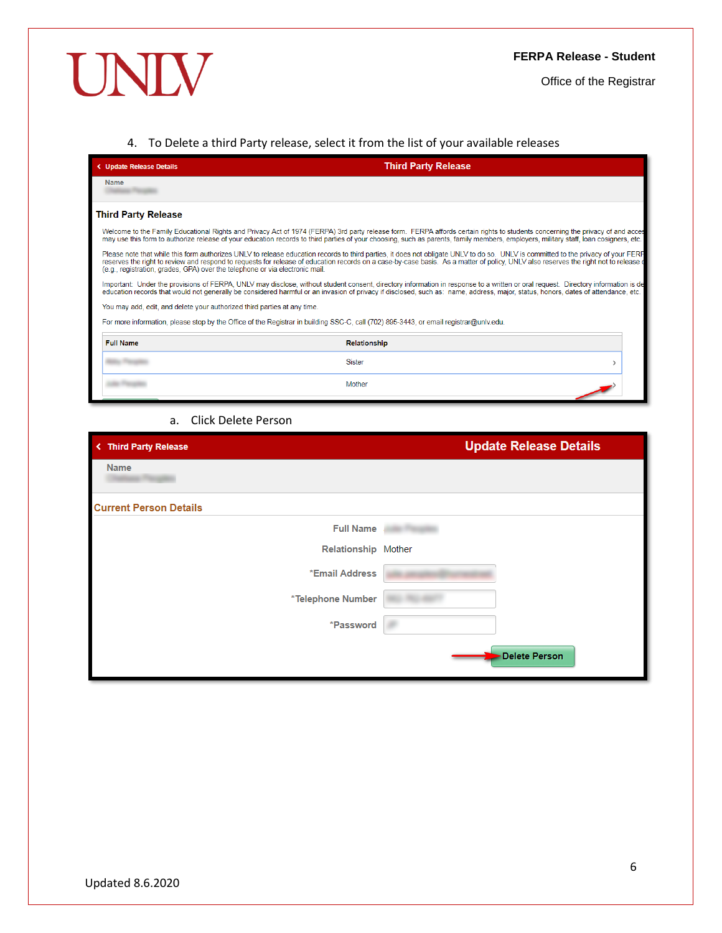Office of the Registrar

## <span id="page-5-0"></span>4. To Delete a third Party release, select it from the list of your available releases

| < Update Release Details                                                                                                              | <b>Third Party Release</b>                                                                                                                                                                                                                                                                                                                                                |
|---------------------------------------------------------------------------------------------------------------------------------------|---------------------------------------------------------------------------------------------------------------------------------------------------------------------------------------------------------------------------------------------------------------------------------------------------------------------------------------------------------------------------|
| <b>Name</b>                                                                                                                           |                                                                                                                                                                                                                                                                                                                                                                           |
| <b>Third Party Release</b>                                                                                                            |                                                                                                                                                                                                                                                                                                                                                                           |
|                                                                                                                                       | Welcome to the Family Educational Rights and Privacy Act of 1974 (FERPA) 3rd party release form. FERPA affords certain rights to students concerning the privacy of and acces<br>may use this form to authorize release of your education records to third parties of your choosing, such as parents, family members, employers, military staff, loan cosigners, etc.     |
| (e.g., registration, grades, GPA) over the telephone or via electronic mail.                                                          | Please note that while this form authorizes UNLV to release education records to third parties, it does not obligate UNLV to do so. UNLV is committed to the privacy of your FERP<br>reserves the right to review and respond to requests for release of education records on a case-by-case basis. As a matter of policy, UNLV also reserves the right not to release of |
|                                                                                                                                       | Important: Under the provisions of FERPA, UNLV may disclose, without student consent, directory information in response to a written or oral request. Directory information is de<br>education records that would not generally be considered harmful or an invasion of privacy if disclosed, such as: name, address, major, status, honors, dates of attendance, etc.    |
| You may add, edit, and delete your authorized third parties at any time.                                                              |                                                                                                                                                                                                                                                                                                                                                                           |
| For more information, please stop by the Office of the Registrar in building SSC-C, call (702) 895-3443, or email registrar@unly.edu. |                                                                                                                                                                                                                                                                                                                                                                           |
| <b>Full Name</b>                                                                                                                      | <b>Relationship</b>                                                                                                                                                                                                                                                                                                                                                       |
|                                                                                                                                       | Sister                                                                                                                                                                                                                                                                                                                                                                    |
|                                                                                                                                       | Mother                                                                                                                                                                                                                                                                                                                                                                    |

## a. Click Delete Person

| < Third Party Release         | <b>Update Release Details</b> |
|-------------------------------|-------------------------------|
| Name                          |                               |
| <b>Current Person Details</b> |                               |
| <b>Full Name</b>              |                               |
| Relationship Mother           |                               |
| *Email Address                |                               |
| *Telephone Number             |                               |
| *Password                     |                               |
|                               | Delete Person                 |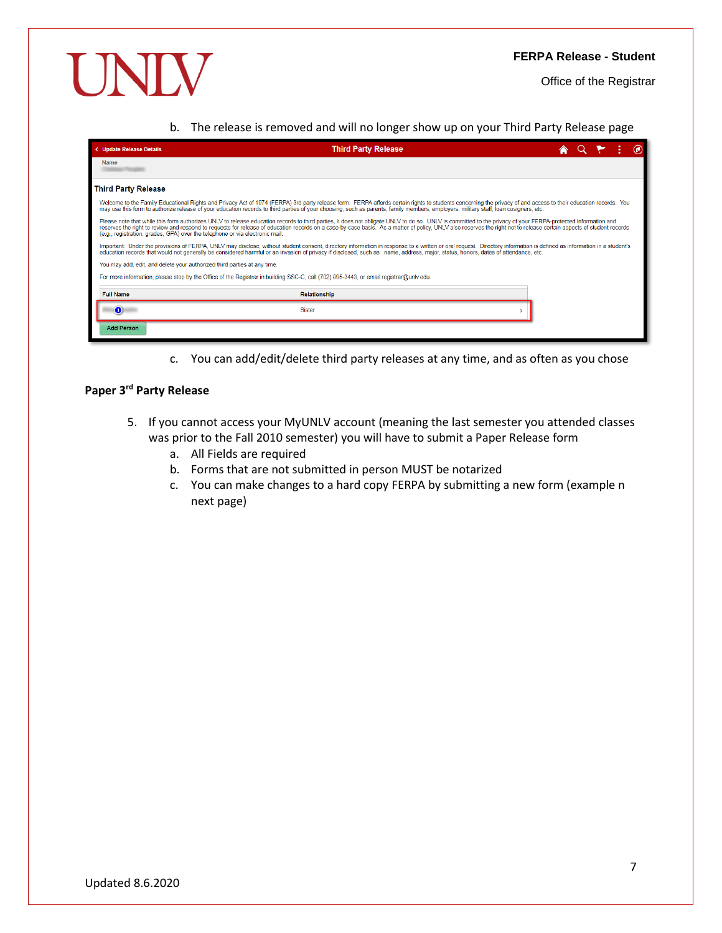Office of the Registrar

b. The release is removed and will no longer show up on your Third Party Release page

| < Update Release Details                                                                                                              | <b>Third Party Release</b>                                                                                                                                                                                                                                                                                                                                                                                                           |  |  |  |
|---------------------------------------------------------------------------------------------------------------------------------------|--------------------------------------------------------------------------------------------------------------------------------------------------------------------------------------------------------------------------------------------------------------------------------------------------------------------------------------------------------------------------------------------------------------------------------------|--|--|--|
| Name                                                                                                                                  |                                                                                                                                                                                                                                                                                                                                                                                                                                      |  |  |  |
| <b>Third Party Release</b>                                                                                                            |                                                                                                                                                                                                                                                                                                                                                                                                                                      |  |  |  |
|                                                                                                                                       | Welcome to the Family Educational Rights and Privacy Act of 1974 (FERPA) 3rd party release form. FERPA affords certain rights to students concerning the privacy of and access to their education records. You<br>may use this form to authorize release of your education records to third parties of your choosing, such as parents, family members, employers, military staff, loan cosigners, etc.                               |  |  |  |
| (e.g., registration, grades, GPA) over the telephone or via electronic mail.                                                          | Please note that while this form authorizes UNLV to release education records to third parties, it does not obligate UNLV to do so. UNLV is committed to the privacy of your FERPA-protected information and<br>reserves the right to review and respond to requests for release of education records on a case-by-case basis. As a matter of policy, UNLV also reserves the right not to release certain aspects of student records |  |  |  |
|                                                                                                                                       | Important: Under the provisions of FERPA, UNLV may disclose, without student consent, directory information in response to a written or oral request. Directory information is defined as information in a student's<br>education records that would not generally be considered harmful or an invasion of privacy if disclosed, such as: name, address, major, status, honors, dates of attendance, etc.                            |  |  |  |
| You may add, edit, and delete your authorized third parties at any time.                                                              |                                                                                                                                                                                                                                                                                                                                                                                                                                      |  |  |  |
| For more information, please stop by the Office of the Registrar in building SSC-C, call (702) 895-3443, or email registrar@unlv.edu. |                                                                                                                                                                                                                                                                                                                                                                                                                                      |  |  |  |
| <b>Full Name</b>                                                                                                                      | <b>Relationship</b>                                                                                                                                                                                                                                                                                                                                                                                                                  |  |  |  |
| $\bullet$                                                                                                                             | <b>Sister</b>                                                                                                                                                                                                                                                                                                                                                                                                                        |  |  |  |
| <b>Add Person</b>                                                                                                                     |                                                                                                                                                                                                                                                                                                                                                                                                                                      |  |  |  |

c. You can add/edit/delete third party releases at any time, and as often as you chose

# <span id="page-6-0"></span>**Paper 3rd Party Release**

- 5. If you cannot access your MyUNLV account (meaning the last semester you attended classes was prior to the Fall 2010 semester) you will have to submit a Paper Release form
	- a. All Fields are required
	- b. Forms that are not submitted in person MUST be notarized
	- c. You can make changes to a hard copy FERPA by submitting a new form (example n next page)